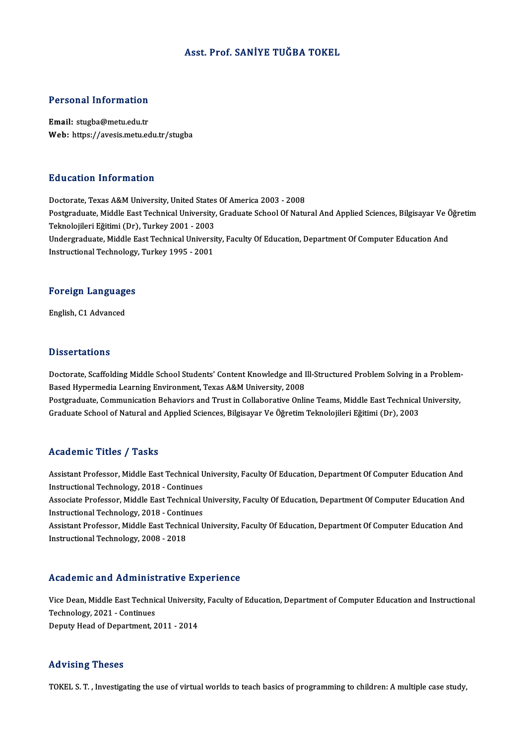#### Asst. Prof. SANİYE TUĞBA TOKEL

#### Personal Information

Email: stugba@metu.edu.tr Web: https://avesis.metu.edu.tr/stugba

#### Education Information

Doctorate, Texas A&M University, United States Of America 2003 - 2008 Postgraduate, Middle East Technical University, Graduate School Of Natural And Applied Sciences, Bilgisayar Ve Öğretim Teknolojileri Eğitimi (Dr), Turkey 2001 - 2003 Postgraduate, Middle East Technical University, Graduate School Of Natural And Applied Sciences, Bilgisayar Ve<br>Teknolojileri Eğitimi (Dr), Turkey 2001 - 2003<br>Undergraduate, Middle East Technical University, Faculty Of Educ Teknolojileri Eğitimi (Dr), Turkey 2001 - 2003<br>Undergraduate, Middle East Technical Universi<br>Instructional Technology, Turkey 1995 - 2001

## nstructional rechnology<br>Foreign Languages F<mark>oreign Languag</mark>e<br>English, C1 Advanced

English, C1 Advanced<br>Dissertations

Doctorate, Scaffolding Middle School Students' Content Knowledge and Ill-Structured Problem Solving in a Problem-Based Hypermedia Learning Environment, Texas A&M University, 2008 Doctorate, Scaffolding Middle School Students' Content Knowledge and Ill-Structured Problem Solving in a Problem-<br>Based Hypermedia Learning Environment, Texas A&M University, 2008<br>Postgraduate, Communication Behaviors and

Based Hypermedia Learning Environment, Texas A&M University, 2008<br>Postgraduate, Communication Behaviors and Trust in Collaborative Online Teams, Middle East Technical<br>Graduate School of Natural and Applied Sciences, Bilgis Graduate School of Natural and Applied Sciences, Bilgisayar Ve Öğretim Teknolojileri Eğitimi (Dr), 2003<br>Academic Titles / Tasks

Assistant Professor, Middle East Technical University, Faculty Of Education, Department Of Computer Education And Instructional Traces<br>Assistant Professor, Middle East Technical Unstructional Technology, 2018 - Continues<br>Associate Brofessor, Middle East Technical U

Associate Professor, Middle East Technical University, Faculty Of Education, Department Of Computer Education And<br>Instructional Technology, 2018 - Continues Instructional Technology, 2018 - Continues<br>Associate Professor, Middle East Technical I<br>Instructional Technology, 2018 - Continues<br>Assistant Professon, Middle Fast Technical I Associate Professor, Middle East Technical University, Faculty Of Education, Department Of Computer Education And<br>Instructional Technology, 2018 - Continues<br>Assistant Professor, Middle East Technical University, Faculty Of

Instructional Technology, 2018 - Contir<br>Assistant Professor, Middle East Techni<br>Instructional Technology, 2008 - 2018

# Instructional Technology, 2008 - 2018<br>Academic and Administrative Experience

Academic and Administrative Experience<br>Vice Dean, Middle East Technical University, Faculty of Education, Department of Computer Education and Instructional Technology, 2021 - Continues<br>Deputy Head of Department, 2011 - 2014 Vice Dean, Middle East Technical Universit<br>Technology, 2021 - Continues<br>Deputy Head of Department, 2011 - 2014

#### Advising Theses

TOKEL S. T., Investigating the use of virtual worlds to teach basics of programming to children: A multiple case study,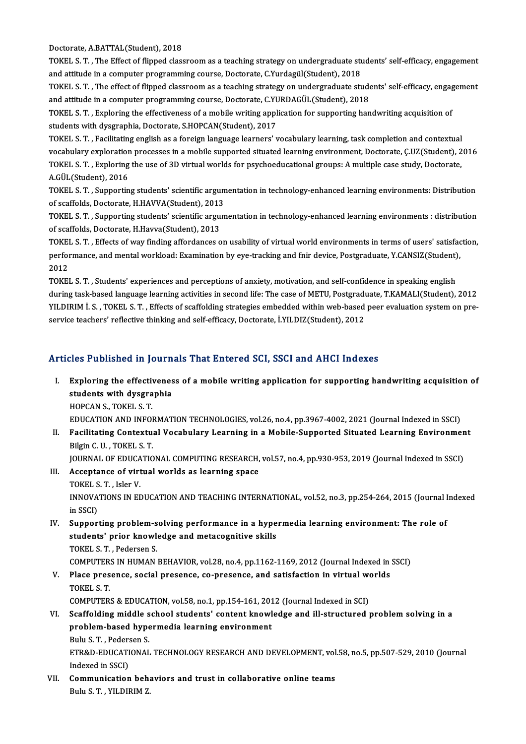Doctorate,A.BATTAL(Student),2018

Doctorate, A.BATTAL(Student), 2018<br>TOKEL S. T. , The Effect of flipped classroom as a teaching strategy on undergraduate students' self-efficacy, engagement<br>and attitude in a computer programming course. Dectarate, C.Vurde Doctorate, A.BATTAL(Student), 2018<br>TOKEL S. T. , The Effect of flipped classroom as a teaching strategy on undergraduate stu<br>and attitude in a computer programming course, Doctorate, C.Yurdagül(Student), 2018<br>TOKEL S. T. T TOKEL S. T. , The Effect of flipped classroom as a teaching strategy on undergraduate students' self-efficacy, engagement<br>and attitude in a computer programming course, Doctorate, C.Yurdagül(Student), 2018<br>TOKEL S. T. , Th

and attitude in a computer programming course, Doctorate, C.Yurdagül(Student), 2018<br>TOKEL S. T. , The effect of flipped classroom as a teaching strategy on undergraduate stude<br>and attitude in a computer programming course, TOKEL S. T. , The effect of flipped classroom as a teaching strategy on undergraduate students' self-efficacy, engag<br>and attitude in a computer programming course, Doctorate, C.YURDAGÜL(Student), 2018<br>TOKEL S. T. , Explori

and attitude in a computer programming course, Doctorate, C.YURDAGÜL(Student), 2018<br>TOKEL S. T. , Exploring the effectiveness of a mobile writing application for supporting handwriting acquisition of<br>students with dysgraph TOKEL S. T. , Exploring the effectiveness of a mobile writing application for supporting handwriting acquisition of<br>students with dysgraphia, Doctorate, S.HOPCAN(Student), 2017<br>TOKEL S. T. , Facilitating english as a forei

students with dysgraphia, Doctorate, S.HOPCAN(Student), 2017<br>TOKEL S. T. , Facilitating english as a foreign language learners' vocabulary learning, task completion and contextual<br>vocabulary exploration processes in a mobi TOKEL S. T. , Facilitating english as a foreign language learners' vocabulary learning, task completion and contextual<br>vocabulary exploration processes in a mobile supported situated learning environment, Doctorate, Ç.UZ(S **vocabulary exploratior<br>TOKEL S. T. , Exploring<br>A.GÜL(Student), 2016<br>TOKEL S. T. Supportin** TOKEL S. T. , Exploring the use of 3D virtual worlds for psychoeducational groups: A multiple case study, Doctorate,<br>A.GÜL(Student), 2016<br>TOKEL S. T. , Supporting students' scientific argumentation in technology-enhanced l

A.GÜL(Student), 2016<br>TOKEL S. T. , Supporting students' scientific argun<br>of scaffolds, Doctorate, H.HAVVA(Student), 2013<br>TOKEL S. T. Supporting students' scientific argun TOKEL S. T. , Supporting students' scientific argumentation in technology-enhanced learning environments: Distribution<br>of scaffolds, Doctorate, H.HAVVA(Student), 2013<br>TOKEL S. T. , Supporting students' scientific argumenta

of scaffolds, Doctorate, H.HAVVA(Student), 2013<br>TOKEL S. T. , Supporting students' scientific argu:<br>of scaffolds, Doctorate, H.Havva(Student), 2013<br>TOKEL S. T., Effects of uny finding offordances o TOKEL S. T. , Supporting students' scientific argumentation in technology-enhanced learning environments : distribution<br>of scaffolds, Doctorate, H.Havva(Student), 2013<br>TOKEL S. T. , Effects of way finding affordances on us

of scaffolds, Doctorate, H.Havva(Student), 2013<br>TOKEL S. T. , Effects of way finding affordances on usability of virtual world environments in terms of users' satisfac<br>performance, and mental workload: Examination by eye-t 10KE<br>perfoi<br>2012<br>TOVEI performance, and mental workload: Examination by eye-tracking and fnir device, Postgraduate, Y.CANSIZ(Student),<br>2012<br>TOKEL S. T. , Students' experiences and perceptions of anxiety, motivation, and self-confidence in speaki

2012<br>TOKEL S. T. , Students' experiences and perceptions of anxiety, motivation, and self-confidence in speaking english<br>during task-based language learning activities in second life: The case of METU, Postgraduate, T.KAMA TOKEL S. T. , Students' experiences and perceptions of anxiety, motivation, and self-confidence in speaking english<br>during task-based language learning activities in second life: The case of METU, Postgraduate, T.KAMALI(St during task-based language learning activities in second life: The case of METU, Postgradı<br>YILDIRIM İ. S. , TOKEL S. T. , Effects of scaffolding strategies embedded within web-based<br>service teachers' reflective thinking an

# service teachers' reflective thinking and self-efficacy, Doctorate, İ.YILDIZ(Student), 2012<br>Articles Published in Journals That Entered SCI, SSCI and AHCI Indexes

rticles Published in Journals That Entered SCI, SSCI and AHCI Indexes<br>I. Exploring the effectiveness of a mobile writing application for supporting handwriting acquisition of Exploring the effectivenes<br>students with dysgraphia<br>HODCAN S. TOKEL S.T. Exploring the effective<br>students with dysgra<br>HOPCAN S., TOKEL S. T.<br>EDUCATION AND INFOL students with dysgraphia<br>HOPCAN S., TOKEL S. T.<br>EDUCATION AND INFORMATION TECHNOLOGIES, vol.26, no.4, pp.3967-4002, 2021 (Journal Indexed in SSCI)<br>Eosilitating Contextual Vosabulary Leorning in a Mobile Supported Situated

HOPCAN S., TOKEL S. T.<br>EDUCATION AND INFORMATION TECHNOLOGIES, vol.26, no.4, pp.3967-4002, 2021 (Journal Indexed in SSCI)<br>II. Facilitating Contextual Vocabulary Learning in a Mobile-Supported Situated Learning Environment<br> EDUCATION AND INFOR<br>Facilitating Contextu:<br>Bilgin C. U. , TOKEL S. T.<br>JOUPNAL OF EDUCATIO II. Facilitating Contextual Vocabulary Learning in a Mobile-Supported Situated Learning Environment<br>Bilgin C. U., TOKEL S. T.

JOURNAL OF EDUCATIONAL COMPUTING RESEARCH, vol.57, no.4, pp.930-953, 2019 (Journal Indexed in SSCI)

- III. Acceptance of virtual worlds as learning space<br>TOKEL S. T., Isler V. Acceptance of virtual worlds as learning space<br>TOKEL S. T. , Isler V.<br>INNOVATIONS IN EDUCATION AND TEACHING INTERNATIONAL, vol.52, no.3, pp.254-264, 2015 (Journal Indexed<br>in SSCD TOKEL S<br>INNOVA<br>in SSCI)<br>Sunnor INNOVATIONS IN EDUCATION AND TEACHING INTERNATIONAL, vol.52, no.3, pp.254-264, 2015 (Journal I<br>in SSCI)<br>IV. Supporting problem-solving performance in a hypermedia learning environment: The role of<br>students' prior knowledge
- in SSCI)<br>Supporting problem-solving performance in a hype<br>students' prior knowledge and metacognitive skills<br>TOKEL S.T., Bodersen S Supporting problem-s<br>students' prior knowl<br>TOKEL S. T. , Pedersen S.<br>COMBUTERS IN HUMAN students' prior knowledge and metacognitive skills<br>TOKEL S. T. , Pedersen S.<br>COMPUTERS IN HUMAN BEHAVIOR, vol.28, no.4, pp.1162-1169, 2012 (Journal Indexed in SSCI)<br>Place presence, social presence, se presence, and satisfa TOKEL S. T. , Pedersen S.<br>COMPUTERS IN HUMAN BEHAVIOR, vol.28, no.4, pp.1162-1169, 2012 (Journal Indexed in<br>V. Place presence, social presence, co-presence, and satisfaction in virtual worlds<br>TOKEL S. T.
- COMPUTER<br>Place pres<br>TOKEL S. T.<br>COMPUTER Place presence, social presence, co-presence, and satisfaction in virtual we<br>TOKEL S. T.<br>COMPUTERS & EDUCATION, vol.58, no.1, pp.154-161, 2012 (Journal Indexed in SCI)<br>Seeffelding middle sebool students' sentent knowledge TOKEL S. T.<br>COMPUTERS & EDUCATION, vol.58, no.1, pp.154-161, 2012 (Journal Indexed in SCI)<br>VI. Scaffolding middle school students' content knowledge and ill-structured problem solving in a<br>problem based bypormedia learning
- COMPUTERS & EDUCATION, vol.58, no.1, pp.154-161, 201<br>Scaffolding middle school students' content knowl<br>problem-based hypermedia learning environment<br>Pulu S.T., Redersen S Scaffolding middle s<br>problem-based hype<br>Bulu S.T., Pedersen S.<br>ETRAD EDUCATIONAL problem-based hypermedia learning environment<br>Bulu S. T. , Pedersen S.<br>ETR&D-EDUCATIONAL TECHNOLOGY RESEARCH AND DEVELOPMENT, vol.58, no.5, pp.507-529, 2010 (Journal<br>Indeved in SSCI) Bulu S. T. , Peders<br>ETR&D-EDUCATI<br>Indexed in SSCI)<br>Communication ETR&D-EDUCATIONAL TECHNOLOGY RESEARCH AND DEVELOPMENT, vol<br>Indexed in SSCI)<br>VII. Communication behaviors and trust in collaborative online teams<br>Publi S.T., VII DIPIM 7
- Indexed in SSCI)<br>VII. Communication behaviors and trust in collaborative online teams<br>Bulu S. T. , YILDIRIM Z.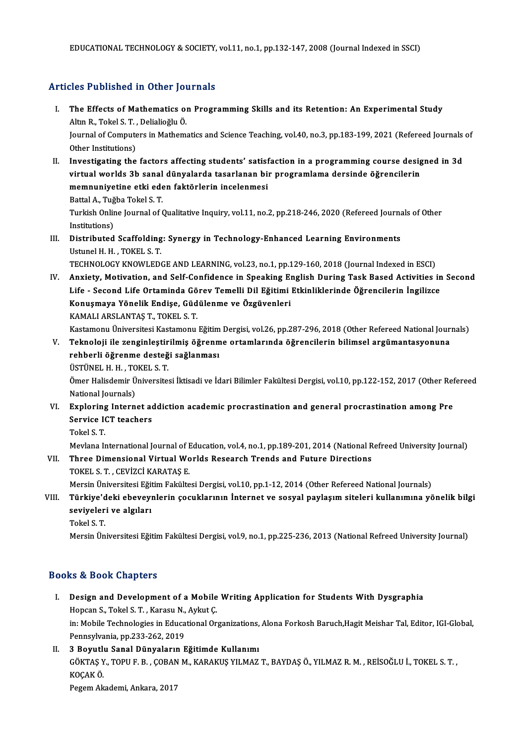### Articles Published in Other Journals

- rticles Published in Other Journals<br>I. The Effects of Mathematics on Programming Skills and its Retention: An Experimental Study<br>Altre P. Tokel S. T. Deligliečky Ö The Effects of Mathematics of<br>Altın R., Tokel S. T. , Delialioğlu Ö.<br>Journal of Computers in Mathem Journal of Computers in Mathematics and Science Teaching, vol.40, no.3, pp.183-199, 2021 (Refereed Journals of<br>Other Institutions) Altın R., Tokel S. T., Delialioğlu Ö. Journal of Computers in Mathematics and Science Teaching, vol.40, no.3, pp.183-199, 2021 (Refereed Journals<br>Other Institutions)<br>II. Investigating the factors affecting students' satisfaction in a programming course designe
- 0ther Institutions)<br>Investigating the factors affecting students' satisfaction in a programming course desig<br>virtual worlds 3b sanal dünyalarda tasarlanan bir programlama dersinde öğrencilerin<br>memnunivetine etki eden faktö Investigating the factors affecting students' satisf<br>virtual worlds 3b sanal dünyalarda tasarlanan bi:<br>memnuniyetine etki eden faktörlerin incelenmesi<br>Pettal A. Tuğba Takal S.T. virtual worlds 3b sanal<br>memnuniyetine etki ede<br>Battal A., Tuğba Tokel S. T.<br>Turkish Online Journal of t Turkish Online Journal of Qualitative Inquiry, vol.11, no.2, pp.218-246, 2020 (Refereed Journals of Other Institutions) Battal A., Tuğba Tokel S. T.
- Turkish Online Journal of Qualitative Inquiry, vol.11, no.2, pp.218-246, 2020 (Refereed Journal<br>Institutions)<br>III. Distributed Scaffolding: Synergy in Technology-Enhanced Learning Environments<br>Intunel H H TOKELS T Institutions)<br>Distributed Scaffolding<br>Ustunel H. H. , TOKEL S. T.<br>TECUNOLOCY KNOWLED Distributed Scaffolding: Synergy in Technology-Enhanced Learning Environments<br>Ustunel H. H. , TOKEL S. T.<br>TECHNOLOGY KNOWLEDGE AND LEARNING, vol.23, no.1, pp.129-160, 2018 (Journal Indexed in ESCI)<br>Anviety, Metivation, and

Ustunel H. H., TOKEL S. T.<br>TECHNOLOGY KNOWLEDGE AND LEARNING, vol.23, no.1, pp.129-160, 2018 (Journal Indexed in ESCI)<br>IV. Anxiety, Motivation, and Self-Confidence in Speaking English During Task Based Activities in Second TECHNOLOGY KNOWLEDGE AND LEARNING, vol.23, no.1, pp.129-160, 2018 (Journal Indexed in ESCI)<br>Anxiety, Motivation, and Self-Confidence in Speaking English During Task Based Activities in<br>Life - Second Life Ortaminda Görev Te Anxiety, Motivation, and Self-Confidence in Speaking El<br>Life - Second Life Ortaminda Görev Temelli Dil Eğitimi<br>Konuşmaya Yönelik Endişe, Güdülenme ve Özgüvenleri<br>KAMALLARSLANTAS T-TOKELS T Life - Second Life Ortaminda Gö<br>Konuşmaya Yönelik Endişe, Güd<br>KAMALI ARSLANTAŞ T., TOKEL S. T.<br>Kastamanı Üniversitesi Kastamanı Konuşmaya Yönelik Endişe, Güdülenme ve Özgüvenleri<br>KAMALI ARSLANTAŞ T., TOKEL S. T.<br>Kastamonu Üniversitesi Kastamonu Eğitim Dergisi, vol.26, pp.287-296, 2018 (Other Refereed National Journals)

KAMALI ARSLANTAŞ T., TOKEL S. T.<br>Kastamonu Üniversitesi Kastamonu Eğitim Dergisi, vol.26, pp.287-296, 2018 (Other Refereed National Jour<br>V. Teknoloji ile zenginleştirilmiş öğrenme ortamlarında öğrencilerin bilimsel argüman Kastamonu Üniversitesi Kastamonu Eğitim<br>Teknoloji ile zenginleştirilmiş öğrenm<br>rehberli öğrenme desteği sağlanması<br>ÜSTÜNEL H H - TOKELS T Teknoloji ile zenginleştir<br>rehberli öğrenme desteğ<br>ÜSTÜNEL H. H. , TOKEL S. T.<br>Ömer Halisdemir Üniversite

rehberli öğrenme desteği sağlanması<br>ÜSTÜNEL H. H. , TOKEL S. T.<br>Ömer Halisdemir Üniversitesi İktisadi ve İdari Bilimler Fakültesi Dergisi, vol.10, pp.122-152, 2017 (Other Refereed ÜSTÜNEL H. H. , TOKEL S. T.<br>Ömer Halisdemir Üniversites<br>National Journals) Ömer Halisdemir Üniversitesi İktisadi ve İdari Bilimler Fakültesi Dergisi, vol.10, pp.122-152, 2017 (Other Ref<br>National Journals)<br>VI. Exploring Internet addiction academic procrastination and general procrastination among

- National Journals)<br>Exploring Internet ac<br>Service ICT teachers<br>Tekel S T Exploring<br>Service I<br>Tokel S. T.<br>Mevlane It Service ICT teachers<br>Tokel S. T.<br>Mevlana International Journal of Education, vol.4, no.1, pp.189-201, 2014 (National Refreed University Journal)<br>Three Dimensional Virtual Worlds Bessersh Trands and Euture Directions.
	-

### Tokel S. T.<br>Mevlana International Journal of Education, vol.4, no.1, pp.189-201, 2014 (National R<br>VII. Three Dimensional Virtual Worlds Research Trends and Future Directions<br>TOKEL S. T. , CEVIZCI KARATAS E. Mevlana International Journal of <mark>F</mark><br>Three Dimensional Virtual Wo<br>TOKEL S. T. , CEVİZCİ KARATAŞ E.<br>Morsin Üniversitesi Eğitim Falsilte

Mersin Üniversitesi Eğitim Fakültesi Dergisi, vol.10, pp.1-12, 2014 (Other Refereed National Journals)

### TOKEL S. T. , CEVİZCİ KARATAŞ E.<br>Mersin Üniversitesi Eğitim Fakültesi Dergisi, vol.10, pp.1-12, 2014 (Other Refereed National Journals)<br>VIII. Türkiye'deki ebeveynlerin çocuklarının İnternet ve sosyal paylaşım siteleri Mersin Üniversitesi Eğit<br>Türkiye'deki ebeveyı<br>seviyeleri ve algıları<br>Tekel S.T Türkiye'd<br>seviyeler<br>Tokel S. T.<br>Morsin Ün seviyeleri ve algıları<br>Tokel S. T.<br>Mersin Üniversitesi Eğitim Fakültesi Dergisi, vol.9, no.1, pp.225-236, 2013 (National Refreed University Journal)

#### Books&Book Chapters

- ooks & Book Chapters<br>I. Design and Development of a Mobile Writing Application for Students With Dysgraphia<br>Hongan & Takel & T. Kareau N. Aylut C Lock Sook anapters<br>Design and Development of a Mobile<br>Hopcan S., Tokel S. T. , Karasu N., Aykut Ç.<br>in: Mobile Technologies in Educational Or Design and Development of a Mobile Writing Application for Students With Dysgraphia<br>Hopcan S., Tokel S. T. , Karasu N., Aykut Ç.<br>in: Mobile Technologies in Educational Organizations, Alona Forkosh Baruch,Hagit Meishar Tal, Hopcan S., Tokel S. T. , Karasu N.,<br>in: Mobile Technologies in Educa<br>Pennsylvania, pp.233-262, 2019<br>2 Beyutlu Sanal Dünyaların E
- Pennsylvania, pp.233-262, 2019<br>II. 3 Boyutlu Sanal Dünyaların Eğitimde Kullanımı Pennsylvania, pp.233-262, 2019<br>3 Boyutlu Sanal Dünyaların Eğitimde Kullanımı<br>GÖKTAŞ Y., TOPU F. B. , ÇOBAN M., KARAKUŞ YILMAZ T., BAYDAŞ Ö., YILMAZ R. M. , REİSOĞLU İ., TOKEL S. T. ,<br>KOÇAK Ö. 3 Boyutl<mark>ı</mark><br>GÖKTAŞ Y<br>KOÇAK Ö.<br>Posem Ak GÖKTAŞ Y., TOPU F. B. , ÇOBAN<br>KOÇAK Ö.<br>Pegem Akademi, Ankara, 2017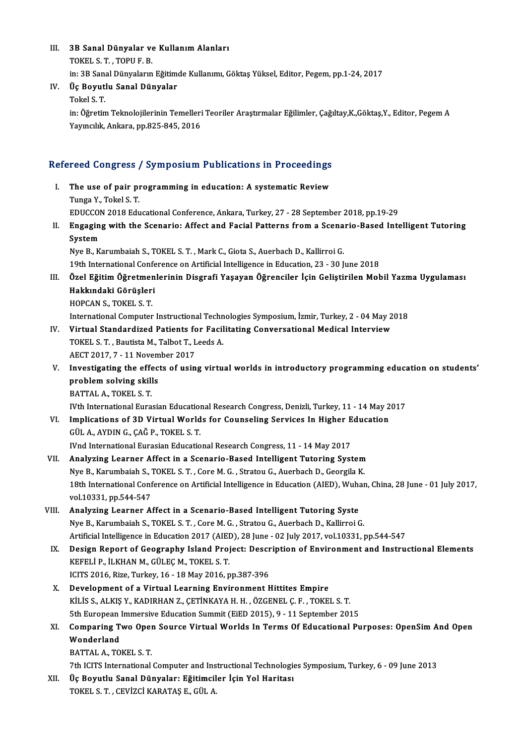- III. 3B Sanal Dünyalar ve Kullanım Alanları<br>TOKELS T. TOPUE P **3B Sanal Dünyalar ve**<br>TOKEL S. T. , TOPU F. B.<br>in: 3B Sanal Dünyaların TOKEL S. T. , TOPU F. B.<br>in: 3B Sanal Dünyaların Eğitimde Kullanımı, Göktaş Yüksel, Editor, Pegem, pp.1-24, 2017 TOKEL S. T. , TOPU F. B.<br>in: 3B Sanal Dünyaların Eğitime<br>IV. Üç Boyutlu Sanal Dünyalar<br>Tekel S. T in: 3B Sana<br>Üç <mark>Boyut</mark><br>Tokel S. T.<br>in: Öğretin
- -

Üç Boyutlu Sanal Dünyalar<br>Tokel S. T.<br>in: Öğretim Teknolojilerinin Temelleri Teoriler Araştırmalar Eğilimler, Çağıltay,K.,Göktaş,Y., Editor, Pegem A<br>Yaynalık, Ankara, pp.925,945, 2016 Tokel S. T.<br>in: Öğretim Teknolojilerinin Temelleri<br>Yayıncılık, Ankara, pp.825-845, 2016

# rayıncılık, Ankara, pp.823-845, 2016<br>Refereed Congress / Symposium Publications in Proceedings

- efereed Congress / Symposium Publications in Proceedings<br>I. The use of pair programming in education: A systematic Review<br>Tungs Y. Tokel S. T. I. The use of pair programming in education: A systematic Review<br>Tunga Y., Tokel S. T. The use of pair programming in education: A systematic Review<br>Tunga Y., Tokel S. T.<br>EDUCCON 2018 Educational Conference, Ankara, Turkey, 27 - 28 September 2018, pp.19-29<br>Engeging with the Seenarie: Affect and Easial Patter
- II. Engaging with the Scenario: Affect and Facial Patterns from a Scenario-Based Intelligent Tutoring<br>System EDUCCOI<br>Engagin<br>System<br>Nue Bu

Nye B., Karumbaiah S., TOKEL S. T., Mark C., Giota S., Auerbach D., Kallirroi G. 19th International Conference on Artificial Intelligence in Education, 23 - 30 June 2018

- Nye B., Karumbaiah S., TOKEL S. T. , Mark C., Giota S., Auerbach D., Kallirroi G.<br>19th International Conference on Artificial Intelligence in Education, 23 30 June 2018<br>III. Özel Eğitim Öğretmenlerinin Disgrafi Yaşay 19th International Confe<br>Özel Eğitim Öğretmen<br>Hakkındaki Görüşleri<br>HOPCAN S. TOKEL S.T Özel Eğitim Öğretmer<br>Hakkındaki Görüşler<br>HOPCAN S., TOKEL S. T.<br>International Computer Hakkındaki Görüşleri<br>HOPCAN S., TOKEL S. T.<br>International Computer Instructional Technologies Symposium, İzmir, Turkey, 2 - 04 May 2018 HOPCAN S., TOKEL S. T.<br>International Computer Instructional Technologies Symposium, İzmir, Turkey, 2 - 04 May 2<br>IV. Virtual Standardized Patients for Facilitating Conversational Medical Interview<br>TOKEL S. T. Poutista M
- International Computer Instructional Techn<br>Virtual Standardized Patients for Facil<br>TOKEL S. T. , Bautista M., Talbot T., Leeds A.<br>AECT 2017 7 11 November 2017 Virtual Standardized Patients fo<br>TOKEL S. T. , Bautista M., Talbot T., L<br>AECT 2017, 7 - 11 November 2017<br>Investigating the effects of usin
- TOKEL S. T. , Bautista M., Talbot T., Leeds A.<br>AECT 2017, 7 11 November 2017<br>V. Investigating the effects of using virtual worlds in introductory programming education on students'<br>nroblem solving ekills AECT 2017, 7 - 11 Novem<br>Investigating the effec<br>problem solving skills<br>PATTAL A TOKELS T Investigating the effer<br>problem solving skill<br>BATTAL A., TOKEL S. T.<br>Wth International Euro problem solving skills<br>BATTAL A., TOKEL S. T.<br>IVth International Eurasian Educational Research Congress, Denizli, Turkey, 11 - 14 May 2017 BATTAL A., TOKEL S. T.<br>IVth International Eurasian Educational Research Congress, Denizli, Turkey, 11 - 14 May 2<br>VI. Implications of 3D Virtual Worlds for Counseling Services In Higher Education

- IVth International Eurasian Education<br>Implications of 3D Virtual World<br>GÜL A., AYDIN G., ÇAĞ P., TOKEL S. T.<br>Wed International Eurasian Educatio Implications of 3D Virtual Worlds for Counseling Services In Higher E<br>GÜL A., AYDIN G., ÇAĞ P., TOKEL S. T.<br>IVnd International Eurasian Educational Research Congress, 11 - 14 May 2017<br>Analyzing Learner Affect in a Seangrie GÜL A., AYDIN G., ÇAĞ P., TOKEL S. T.<br>IVnd International Eurasian Educational Research Congress, 11 - 14 May 2017<br>VII. Analyzing Learner Affect in a Scenario-Based Intelligent Tutoring System
- Nye B., Karumbaiah S., TOKEL S. T., Core M. G., Stratou G., Auerbach D., Georgila K. Analyzing Learner Affect in a Scenario-Based Intelligent Tutoring System<br>Nye B., Karumbaiah S., TOKEL S. T. , Core M. G. , Stratou G., Auerbach D., Georgila K.<br>18th International Conference on Artificial Intelligence in Ed Nye B., Karumbaiah S., 7<br>18th International Conf<br>vol.10331, pp.544-547<br>Analyzing Learner A 18th International Conference on Artificial Intelligence in Education (AIED), Wuhr<br>vol.10331, pp.544-547<br>VIII. Analyzing Learner Affect in a Scenario-Based Intelligent Tutoring Syste<br>Nue B. Karumbaiah S. TOKELS T. Core M.C
- vol.10331, pp.544-547<br>VIII. Analyzing Learner Affect in a Scenario-Based Intelligent Tutoring Syste<br>Nye B., Karumbaiah S., TOKEL S. T. , Core M. G. , Stratou G., Auerbach D., Kallirroi G. Analyzing Learner Affect in a Scenario-Based Intelligent Tutoring Syste<br>Nye B., Karumbaiah S., TOKEL S. T. , Core M. G. , Stratou G., Auerbach D., Kallirroi G.<br>Artificial Intelligence in Education 2017 (AIED), 28 June - 02 Nye B., Karumbaiah S., TOKEL S. T. , Core M. G. , Stratou G., Auerbach D., Kallirroi G.<br>Artificial Intelligence in Education 2017 (AIED), 28 June - 02 July 2017, vol.10331, pp.544-547<br>IX. Design Report of Geography Island
	- Artificial Intelligence in Education 2017 (AIEI<br>Design Report of Geography Island Proj<br>KEFELİ P., İLKHAN M., GÜLEÇ M., TOKEL S. T. Design Report of Geography Island Project: Descr<br>KEFELİ P., İLKHAN M., GÜLEÇ M., TOKEL S. T.<br>ICITS 2016, Rize, Turkey, 16 - 18 May 2016, pp.387-396<br>Development of a Virtual Learning Environment b KEFELİ P., İLKHAN M., GÜLEÇ M., TOKEL S. T.<br>ICITS 2016, Rize, Turkey, 16 - 18 May 2016, pp.387-396<br>X. Development of a Virtual Learning Environment Hittites Empire
	- KİLİS S.,ALKIŞY.,KADIRHANZ.,ÇETİNKAYAH.H. ,ÖZGENEL Ç.F. ,TOKEL S.T. Development of a Virtual Learning Environment Hittites Empire<br>KiLiS S., ALKIŞ Y., KADIRHAN Z., ÇETİNKAYA H. H. , ÖZGENEL Ç. F. , TOKEL S. T.<br>5th European Immersive Education Summit (EiED 2015), 9 - 11 September 2015<br>Compar KİLİS S., ALKIŞ Y., KADIRHAN Z., ÇETİNKAYA H. H. , ÖZGENEL Ç. F. , TOKEL S. T.<br>5th European Immersive Education Summit (EiED 2015), 9 - 11 September 2015<br>XI. Comparing Two Open Source Virtual Worlds In Terms Of Educati
	- 5th European<br>Comparing T<br>Wonderland<br>BATTAL A-TO Comparing Two Oper<br>Wonderland<br>BATTAL A., TOKEL S. T.<br>7th ICITS International Wonderland<br>BATTAL A., TOKEL S. T.<br>7th ICITS International Computer and Instructional Technologies Symposium, Turkey, 6 - 09 June 2013<br>De Royutly Sanal Dünyaları Eğitimcilar İsin Vol Haritası
		-

BATTAL A., TOKEL S. T.<br>7th ICITS International Computer and Instructional Technologie<br>XII. Üç Boyutlu Sanal Dünyalar: Eğitimciler İçin Yol Haritası<br>TOKEL S. T. , CEVİZCİ KARATAŞ E., GÜL A. 7th ICITS International Computer and Ins<br>Üç Boyutlu Sanal Dünyalar: Eğitimcil<br>TOKEL S. T. , CEVİZCİ KARATAŞ E., GÜL A.